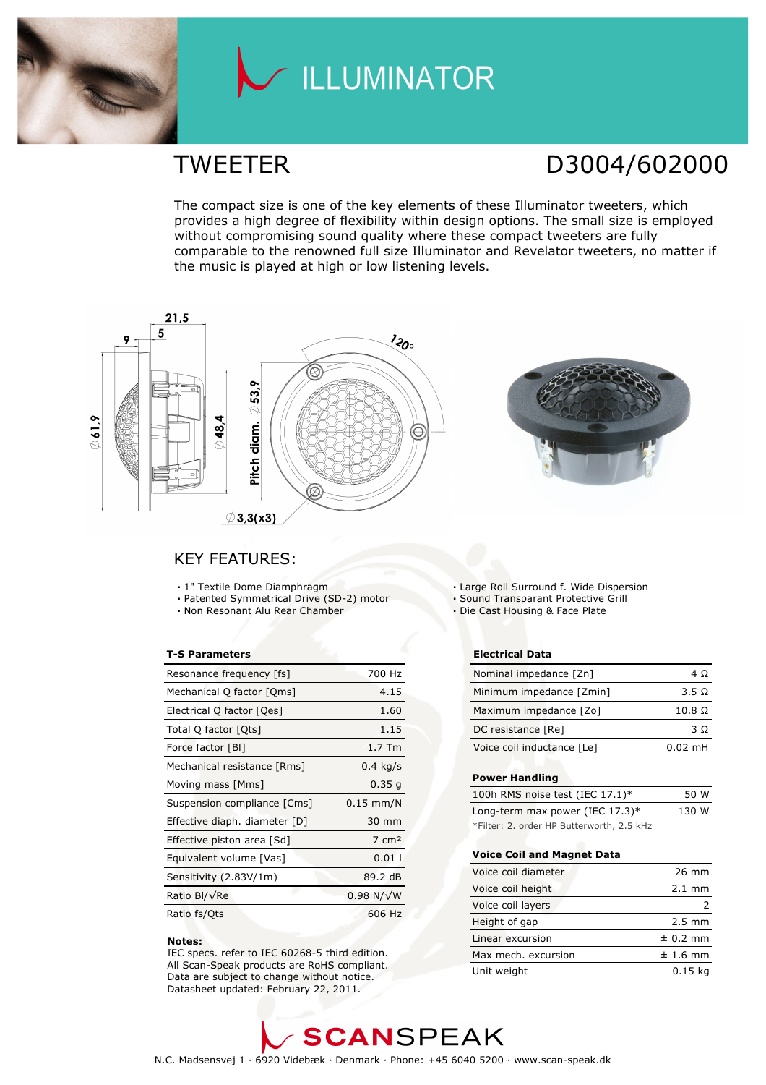

# LLUMINATOR

### TWEETER D3004/602000

The compact size is one of the key elements of these Illuminator tweeters, which provides a high degree of flexibility within design options. The small size is employed without compromising sound quality where these compact tweeters are fully comparable to the renowned full size Illuminator and Revelator tweeters, no matter if the music is played at high or low listening levels.



### KEY FEATURES:

- 1" Textile Dome Diamphragm
- Patented Symmetrical Drive (SD-2) motor
- Non Resonant Alu Rear Chamber

#### T-S Parameters

| Resonance frequency [fs]      | 700 Hz            |
|-------------------------------|-------------------|
| Mechanical Q factor [Qms]     | 4.15              |
| Electrical Q factor [Qes]     | 1.60              |
| Total Q factor [Ots]          | 1.15              |
| Force factor [BI]             | $1.7$ Tm          |
| Mechanical resistance [Rms]   | $0.4$ kg/s        |
| Moving mass [Mms]             | 0.35q             |
| Suspension compliance [Cms]   | $0.15$ mm/N       |
| Effective diaph. diameter [D] | 30 mm             |
| Effective piston area [Sd]    | $7 \text{ cm}^2$  |
| Equivalent volume [Vas]       | 0.011             |
| Sensitivity (2.83V/1m)        | 89.2 dB           |
| Ratio Bl/√Re                  | $0.98 N/\sqrt{W}$ |
| Ratio fs/Qts                  | 606 Hz            |

#### Notes:

 IEC specs. refer to IEC 60268-5 third edition. All Scan-Speak products are RoHS compliant. Data are subject to change without notice. Datasheet updated: February 22, 2011.

Large Roll Surround f. Wide Dispersion

Sound Transparant Protective Grill

Die Cast Housing & Face Plate

#### Electrical Data

| Nominal impedance [Zn]     | 4 O                  |
|----------------------------|----------------------|
| Minimum impedance [Zmin]   | 3.5 Q                |
| Maximum impedance [Zo]     | $10.8\ \Omega$       |
| DC resistance [Re]         | 3 O                  |
| Voice coil inductance [Le] | $0.02 \, \text{m}$ H |

#### Power Handling

| 100h RMS noise test (IEC 17.1)*           | 50 W  |
|-------------------------------------------|-------|
| Long-term max power (IEC $17.3$ )*        | 130 W |
| *Filter: 2. order HP Butterworth, 2.5 kHz |       |

#### Voice Coil and Magnet Data

| Voice coil diameter | 26 mm            |
|---------------------|------------------|
| Voice coil height   | $2.1 \text{ mm}$ |
| Voice coil layers   |                  |
| Height of gap       | $2.5 \text{ mm}$ |
| Linear excursion    | $± 0.2$ mm       |
| Max mech. excursion | $± 1.6$ mm       |
| Unit weight         | 0.15 ka          |

## **SCANSPEAK**